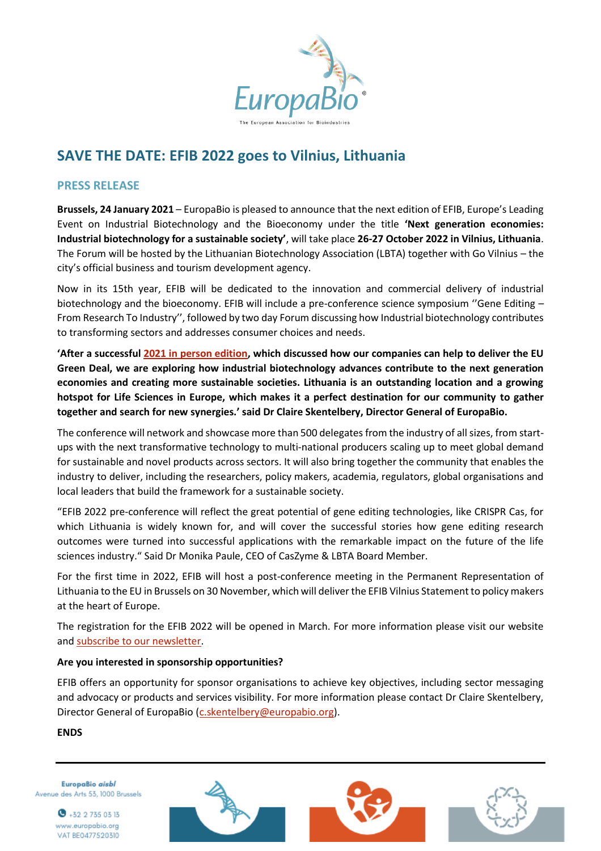

# **SAVE THE DATE: EFIB 2022 goes to Vilnius, Lithuania**

## **PRESS RELEASE**

**Brussels, 24 January 2021** – EuropaBio is pleased to announce that the next edition of EFIB, Europe's Leading Event on Industrial Biotechnology and the Bioeconomy under the title **'Next generation economies: Industrial biotechnology for a sustainable society'**, will take place **26-27 October 2022 in Vilnius, Lithuania**. The Forum will be hosted by the Lithuanian Biotechnology Association (LBTA) together with Go Vilnius – the city's official business and tourism development agency.

Now in its 15th year, EFIB will be dedicated to the innovation and commercial delivery of industrial biotechnology and the bioeconomy. EFIB will include a pre-conference science symposium "Gene Editing -From Research To Industry'', followed by two day Forum discussing how Industrial biotechnology contributes to transforming sectors and addresses consumer choices and needs.

**'After a successful [2021 in person edition,](https://youtu.be/VwCiwOT4an8) which discussed how our companies can help to deliver the EU Green Deal, we are exploring how industrial biotechnology advances contribute to the next generation economies and creating more sustainable societies. Lithuania is an outstanding location and a growing hotspot for Life Sciences in Europe, which makes it a perfect destination for our community to gather together and search for new synergies.' said Dr Claire Skentelbery, Director General of EuropaBio.**

The conference will network and showcase more than 500 delegates from the industry of all sizes, from startups with the next transformative technology to multi-national producers scaling up to meet global demand for sustainable and novel products across sectors. It will also bring together the community that enables the industry to deliver, including the researchers, policy makers, academia, regulators, global organisations and local leaders that build the framework for a sustainable society.

"EFIB 2022 pre-conference will reflect the great potential of gene editing technologies, like CRISPR Cas, for which Lithuania is widely known for, and will cover the successful stories how gene editing research outcomes were turned into successful applications with the remarkable impact on the future of the life sciences industry." Said Dr Monika Paule, CEO of CasZyme & LBTA Board Member.

For the first time in 2022, EFIB will host a post-conference meeting in the Permanent Representation of Lithuania to the EU in Brussels on 30 November, which will deliver the EFIB Vilnius Statement to policy makers at the heart of Europe.

The registration for the EFIB 2022 will be opened in March. For more information please visit our website and [subscribe to our newsletter.](https://europabio.us2.list-manage.com/subscribe?u=e9f9a8afa162b5fa860959573&id=6c1895d04e)

### **Are you interested in sponsorship opportunities?**

EFIB offers an opportunity for sponsor organisations to achieve key objectives, including sector messaging and advocacy or products and services visibility. For more information please contact Dr Claire Skentelbery, Director General of EuropaBio (*c.skentelbery@europabio.org*).

### **ENDS**

EuropaBio aisbl Avenue des Arts 53, 1000 Brussels





 $\bullet$  +32 2 735 03 13 www.europabio.org VAT BE0477520310